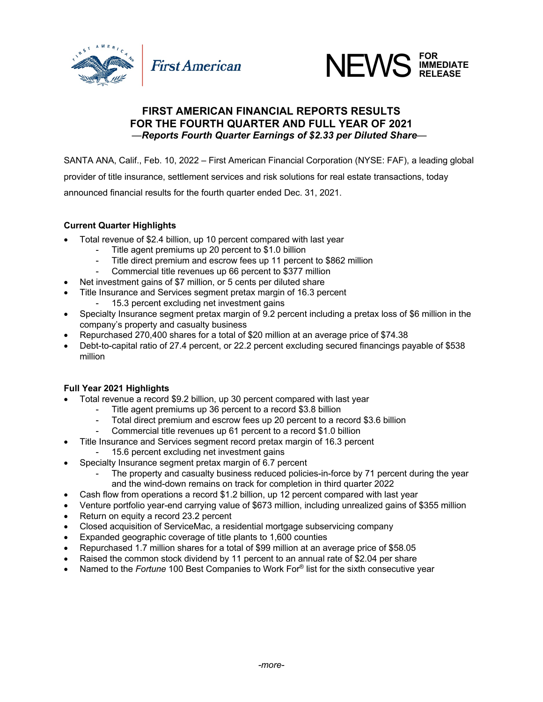



## **FIRST AMERICAN FINANCIAL REPORTS RESULTS FOR THE FOURTH QUARTER AND FULL YEAR OF 2021** *—Reports Fourth Quarter Earnings of \$2.33 per Diluted Share—*

SANTA ANA, Calif., Feb. 10, 2022 – First American Financial Corporation (NYSE: FAF), a leading global provider of title insurance, settlement services and risk solutions for real estate transactions, today announced financial results for the fourth quarter ended Dec. 31, 2021.

## **Current Quarter Highlights**

- Total revenue of \$2.4 billion, up 10 percent compared with last year
	- Title agent premiums up 20 percent to \$1.0 billion
	- Title direct premium and escrow fees up 11 percent to \$862 million
	- Commercial title revenues up 66 percent to \$377 million
- Net investment gains of \$7 million, or 5 cents per diluted share
- Title Insurance and Services segment pretax margin of 16.3 percent
	- 15.3 percent excluding net investment gains
- Specialty Insurance segment pretax margin of 9.2 percent including a pretax loss of \$6 million in the company's property and casualty business
- Repurchased 270,400 shares for a total of \$20 million at an average price of \$74.38
- Debt-to-capital ratio of 27.4 percent, or 22.2 percent excluding secured financings payable of \$538 million

## **Full Year 2021 Highlights**

- Total revenue a record \$9.2 billion, up 30 percent compared with last year
	- Title agent premiums up 36 percent to a record \$3.8 billion
	- Total direct premium and escrow fees up 20 percent to a record \$3.6 billion
	- Commercial title revenues up 61 percent to a record \$1.0 billion
- Title Insurance and Services segment record pretax margin of 16.3 percent
	- 15.6 percent excluding net investment gains
- Specialty Insurance segment pretax margin of 6.7 percent
	- The property and casualty business reduced policies-in-force by 71 percent during the year and the wind-down remains on track for completion in third quarter 2022
- Cash flow from operations a record \$1.2 billion, up 12 percent compared with last year
- Venture portfolio year-end carrying value of \$673 million, including unrealized gains of \$355 million
- Return on equity a record 23.2 percent
- Closed acquisition of ServiceMac, a residential mortgage subservicing company
- Expanded geographic coverage of title plants to 1,600 counties
- Repurchased 1.7 million shares for a total of \$99 million at an average price of \$58.05
- Raised the common stock dividend by 11 percent to an annual rate of \$2.04 per share
- Named to the *Fortune* 100 Best Companies to Work For® list for the sixth consecutive year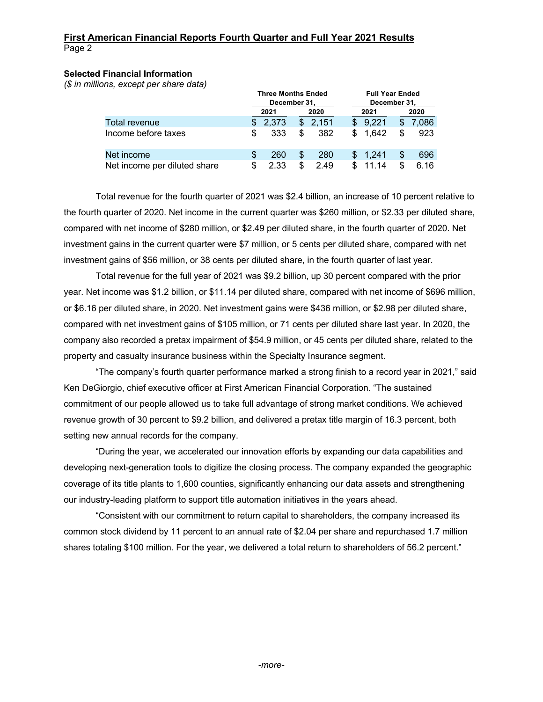### **Selected Financial Information**

*(\$ in millions, except per share data)*

|                              |     | <b>Three Months Ended</b> |    |       |     | <b>Full Year Ended</b> |              |       |  |  |
|------------------------------|-----|---------------------------|----|-------|-----|------------------------|--------------|-------|--|--|
|                              |     | December 31.              |    |       |     |                        | December 31, |       |  |  |
|                              |     | 2021                      |    | 2020  |     | 2021                   |              | 2020  |  |  |
| Total revenue                |     | 2,373                     | S  | 2.151 | \$. | 9.221                  |              | 7.086 |  |  |
| Income before taxes          | \$. | 333                       | \$ | 382   | S   | 1.642                  |              | 923   |  |  |
| Net income                   |     | 260                       | S  | 280   |     | \$1.241                |              | 696   |  |  |
| Net income per diluted share |     | 2.33                      | S  | 2.49  |     | 11.14                  |              | 6.16  |  |  |

Total revenue for the fourth quarter of 2021 was \$2.4 billion, an increase of 10 percent relative to the fourth quarter of 2020. Net income in the current quarter was \$260 million, or \$2.33 per diluted share, compared with net income of \$280 million, or \$2.49 per diluted share, in the fourth quarter of 2020. Net investment gains in the current quarter were \$7 million, or 5 cents per diluted share, compared with net investment gains of \$56 million, or 38 cents per diluted share, in the fourth quarter of last year.

Total revenue for the full year of 2021 was \$9.2 billion, up 30 percent compared with the prior year. Net income was \$1.2 billion, or \$11.14 per diluted share, compared with net income of \$696 million, or \$6.16 per diluted share, in 2020. Net investment gains were \$436 million, or \$2.98 per diluted share, compared with net investment gains of \$105 million, or 71 cents per diluted share last year. In 2020, the company also recorded a pretax impairment of \$54.9 million, or 45 cents per diluted share, related to the property and casualty insurance business within the Specialty Insurance segment.

"The company's fourth quarter performance marked a strong finish to a record year in 2021," said Ken DeGiorgio, chief executive officer at First American Financial Corporation. "The sustained commitment of our people allowed us to take full advantage of strong market conditions. We achieved revenue growth of 30 percent to \$9.2 billion, and delivered a pretax title margin of 16.3 percent, both setting new annual records for the company.

"During the year, we accelerated our innovation efforts by expanding our data capabilities and developing next-generation tools to digitize the closing process. The company expanded the geographic coverage of its title plants to 1,600 counties, significantly enhancing our data assets and strengthening our industry-leading platform to support title automation initiatives in the years ahead.

"Consistent with our commitment to return capital to shareholders, the company increased its common stock dividend by 11 percent to an annual rate of \$2.04 per share and repurchased 1.7 million shares totaling \$100 million. For the year, we delivered a total return to shareholders of 56.2 percent."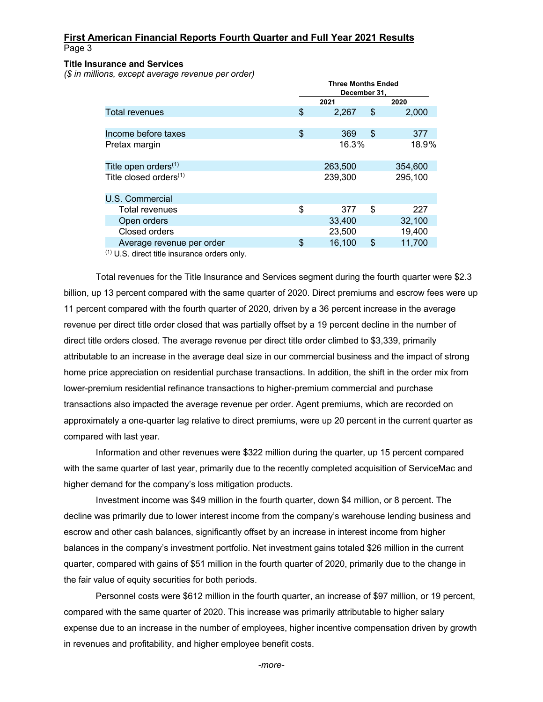#### **Title Insurance and Services**

*(\$ in millions, except average revenue per order)*

|                                  | <b>Three Months Ended</b><br>December 31, |    |         |  |  |  |  |  |  |  |  |
|----------------------------------|-------------------------------------------|----|---------|--|--|--|--|--|--|--|--|
|                                  | 2021                                      |    | 2020    |  |  |  |  |  |  |  |  |
| <b>Total revenues</b>            | \$<br>2,267                               | \$ | 2,000   |  |  |  |  |  |  |  |  |
|                                  |                                           |    |         |  |  |  |  |  |  |  |  |
| Income before taxes              | \$<br>369                                 | \$ | 377     |  |  |  |  |  |  |  |  |
| Pretax margin                    | 18.9%<br>16.3%                            |    |         |  |  |  |  |  |  |  |  |
|                                  |                                           |    |         |  |  |  |  |  |  |  |  |
| Title open orders <sup>(1)</sup> | 263,500                                   |    | 354,600 |  |  |  |  |  |  |  |  |
| Title closed orders $(1)$        | 239,300                                   |    | 295,100 |  |  |  |  |  |  |  |  |
|                                  |                                           |    |         |  |  |  |  |  |  |  |  |
| U.S. Commercial                  |                                           |    |         |  |  |  |  |  |  |  |  |
| <b>Total revenues</b>            | \$<br>377                                 | \$ | 227     |  |  |  |  |  |  |  |  |
| Open orders                      | 33,400                                    |    | 32,100  |  |  |  |  |  |  |  |  |
| Closed orders                    | 23,500                                    |    | 19,400  |  |  |  |  |  |  |  |  |
| Average revenue per order        | \$<br>16,100                              | \$ | 11,700  |  |  |  |  |  |  |  |  |
|                                  |                                           |    |         |  |  |  |  |  |  |  |  |

(1) U.S. direct title insurance orders only.

Total revenues for the Title Insurance and Services segment during the fourth quarter were \$2.3 billion, up 13 percent compared with the same quarter of 2020. Direct premiums and escrow fees were up 11 percent compared with the fourth quarter of 2020, driven by a 36 percent increase in the average revenue per direct title order closed that was partially offset by a 19 percent decline in the number of direct title orders closed. The average revenue per direct title order climbed to \$3,339, primarily attributable to an increase in the average deal size in our commercial business and the impact of strong home price appreciation on residential purchase transactions. In addition, the shift in the order mix from lower-premium residential refinance transactions to higher-premium commercial and purchase transactions also impacted the average revenue per order. Agent premiums, which are recorded on approximately a one-quarter lag relative to direct premiums, were up 20 percent in the current quarter as compared with last year.

Information and other revenues were \$322 million during the quarter, up 15 percent compared with the same quarter of last year, primarily due to the recently completed acquisition of ServiceMac and higher demand for the company's loss mitigation products.

Investment income was \$49 million in the fourth quarter, down \$4 million, or 8 percent. The decline was primarily due to lower interest income from the company's warehouse lending business and escrow and other cash balances, significantly offset by an increase in interest income from higher balances in the company's investment portfolio. Net investment gains totaled \$26 million in the current quarter, compared with gains of \$51 million in the fourth quarter of 2020, primarily due to the change in the fair value of equity securities for both periods.

Personnel costs were \$612 million in the fourth quarter, an increase of \$97 million, or 19 percent, compared with the same quarter of 2020. This increase was primarily attributable to higher salary expense due to an increase in the number of employees, higher incentive compensation driven by growth in revenues and profitability, and higher employee benefit costs.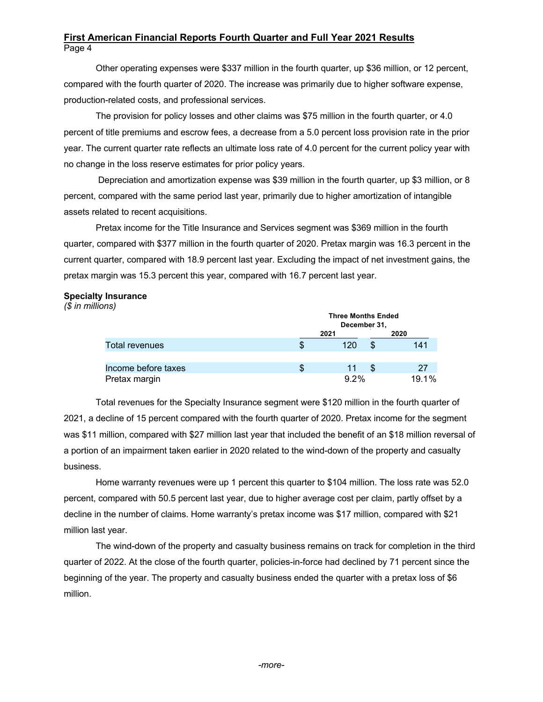Other operating expenses were \$337 million in the fourth quarter, up \$36 million, or 12 percent, compared with the fourth quarter of 2020. The increase was primarily due to higher software expense, production-related costs, and professional services.

The provision for policy losses and other claims was \$75 million in the fourth quarter, or 4.0 percent of title premiums and escrow fees, a decrease from a 5.0 percent loss provision rate in the prior year. The current quarter rate reflects an ultimate loss rate of 4.0 percent for the current policy year with no change in the loss reserve estimates for prior policy years.

Depreciation and amortization expense was \$39 million in the fourth quarter, up \$3 million, or 8 percent, compared with the same period last year, primarily due to higher amortization of intangible assets related to recent acquisitions.

Pretax income for the Title Insurance and Services segment was \$369 million in the fourth quarter, compared with \$377 million in the fourth quarter of 2020. Pretax margin was 16.3 percent in the current quarter, compared with 18.9 percent last year. Excluding the impact of net investment gains, the pretax margin was 15.3 percent this year, compared with 16.7 percent last year.

### **Specialty Insurance**

*(\$ in millions)*

|                       |      | <b>Three Months Ended</b><br>December 31, |   |       |  |  |  |  |  |
|-----------------------|------|-------------------------------------------|---|-------|--|--|--|--|--|
|                       | 2021 |                                           |   | 2020  |  |  |  |  |  |
| <b>Total revenues</b> | ზ    | 120                                       | S | 141   |  |  |  |  |  |
|                       |      |                                           |   |       |  |  |  |  |  |
| Income before taxes   | Ъ    | 11                                        |   | 27    |  |  |  |  |  |
| Pretax margin         |      | $9.2\%$                                   |   | 19.1% |  |  |  |  |  |

Total revenues for the Specialty Insurance segment were \$120 million in the fourth quarter of 2021, a decline of 15 percent compared with the fourth quarter of 2020. Pretax income for the segment was \$11 million, compared with \$27 million last year that included the benefit of an \$18 million reversal of a portion of an impairment taken earlier in 2020 related to the wind-down of the property and casualty business.

Home warranty revenues were up 1 percent this quarter to \$104 million. The loss rate was 52.0 percent, compared with 50.5 percent last year, due to higher average cost per claim, partly offset by a decline in the number of claims. Home warranty's pretax income was \$17 million, compared with \$21 million last year.

The wind-down of the property and casualty business remains on track for completion in the third quarter of 2022. At the close of the fourth quarter, policies-in-force had declined by 71 percent since the beginning of the year. The property and casualty business ended the quarter with a pretax loss of \$6 million.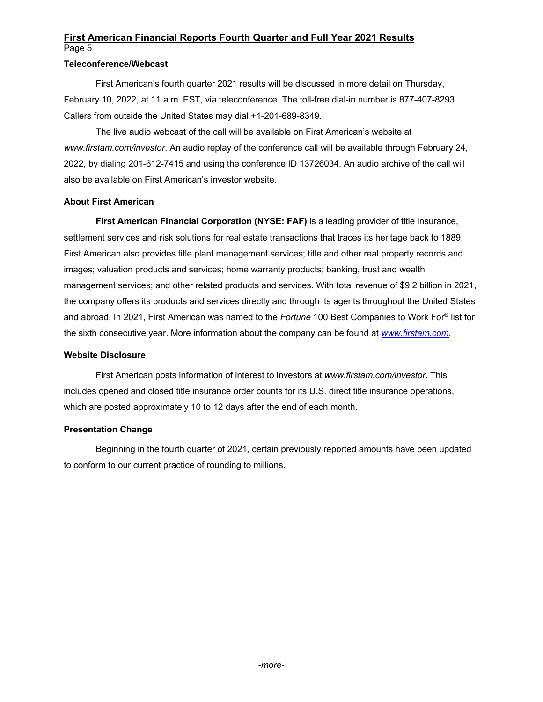## **Teleconference/Webcast**

First American's fourth quarter 2021 results will be discussed in more detail on Thursday, February 10, 2022, at 11 a.m. EST, via teleconference. The toll-free dial-in number is 877-407-8293. Callers from outside the United States may dial +1-201-689-8349.

The live audio webcast of the call will be available on First American's website at *www.firstam.com/investor*. An audio replay of the conference call will be available through February 24, 2022, by dialing 201-612-7415 and using the conference ID 13726034. An audio archive of the call will also be available on First American's investor website.

## **About First American**

**First American Financial Corporation (NYSE: FAF)** is a leading provider of title insurance, settlement services and risk solutions for real estate transactions that traces its heritage back to 1889. First American also provides title plant management services; title and other real property records and images; valuation products and services; home warranty products; banking, trust and wealth management services; and other related products and services. With total revenue of \$9.2 billion in 2021, the company offers its products and services directly and through its agents throughout the United States and abroad. In 2021, First American was named to the *Fortune* 100 Best Companies to Work For® list for the sixth consecutive year. More information about the company can be found at *www.firstam.com*.

#### **Website Disclosure**

First American posts information of interest to investors at *www.firstam.com/investor*. This includes opened and closed title insurance order counts for its U.S. direct title insurance operations, which are posted approximately 10 to 12 days after the end of each month.

## **Presentation Change**

Beginning in the fourth quarter of 2021, certain previously reported amounts have been updated to conform to our current practice of rounding to millions.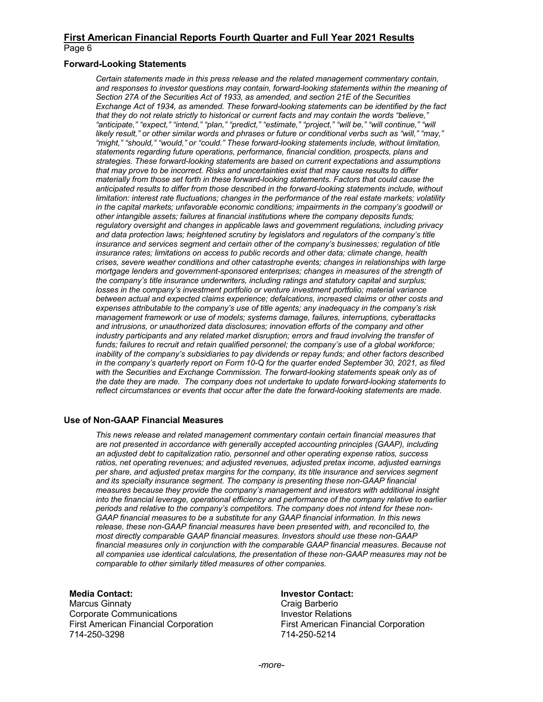#### **Forward-Looking Statements**

*Certain statements made in this press release and the related management commentary contain, and responses to investor questions may contain, forward-looking statements within the meaning of Section 27A of the Securities Act of 1933, as amended, and section 21E of the Securities Exchange Act of 1934, as amended. These forward-looking statements can be identified by the fact that they do not relate strictly to historical or current facts and may contain the words "believe," "anticipate," "expect," "intend," "plan," "predict," "estimate," "project," "will be," "will continue," "will likely result," or other similar words and phrases or future or conditional verbs such as "will," "may," "might," "should," "would," or "could." These forward-looking statements include, without limitation, statements regarding future operations, performance, financial condition, prospects, plans and strategies. These forward-looking statements are based on current expectations and assumptions that may prove to be incorrect. Risks and uncertainties exist that may cause results to differ materially from those set forth in these forward-looking statements. Factors that could cause the anticipated results to differ from those described in the forward-looking statements include, without limitation: interest rate fluctuations; changes in the performance of the real estate markets; volatility in the capital markets; unfavorable economic conditions; impairments in the company's goodwill or other intangible assets; failures at financial institutions where the company deposits funds; regulatory oversight and changes in applicable laws and government regulations, including privacy and data protection laws; heightened scrutiny by legislators and regulators of the company's title insurance and services segment and certain other of the company's businesses; regulation of title insurance rates; limitations on access to public records and other data; climate change, health crises, severe weather conditions and other catastrophe events; changes in relationships with large mortgage lenders and government-sponsored enterprises; changes in measures of the strength of the company's title insurance underwriters, including ratings and statutory capital and surplus; losses in the company's investment portfolio or venture investment portfolio; material variance between actual and expected claims experience; defalcations, increased claims or other costs and expenses attributable to the company's use of title agents; any inadequacy in the company's risk management framework or use of models; systems damage, failures, interruptions, cyberattacks and intrusions, or unauthorized data disclosures; innovation efforts of the company and other*  industry participants and any related market disruption; errors and fraud involving the transfer of *funds; failures to recruit and retain qualified personnel; the company's use of a global workforce; inability of the company's subsidiaries to pay dividends or repay funds; and other factors described in the company's quarterly report on Form 10-Q for the quarter ended September 30, 2021, as filed with the Securities and Exchange Commission. The forward-looking statements speak only as of the date they are made. The company does not undertake to update forward-looking statements to reflect circumstances or events that occur after the date the forward-looking statements are made.*

#### **Use of Non-GAAP Financial Measures**

*This news release and related management commentary contain certain financial measures that are not presented in accordance with generally accepted accounting principles (GAAP), including an adjusted debt to capitalization ratio, personnel and other operating expense ratios, success ratios, net operating revenues; and adjusted revenues, adjusted pretax income, adjusted earnings per share, and adjusted pretax margins for the company, its title insurance and services segment and its specialty insurance segment. The company is presenting these non-GAAP financial measures because they provide the company's management and investors with additional insight into the financial leverage, operational efficiency and performance of the company relative to earlier periods and relative to the company's competitors. The company does not intend for these non-GAAP financial measures to be a substitute for any GAAP financial information. In this news*  release, these non-GAAP financial measures have been presented with, and reconciled to, the *most directly comparable GAAP financial measures. Investors should use these non-GAAP*  financial measures only in conjunction with the comparable GAAP financial measures. Because not *all companies use identical calculations, the presentation of these non-GAAP measures may not be comparable to other similarly titled measures of other companies.* 

#### **Media Contact:**

Marcus Ginnaty Corporate Communications First American Financial Corporation 714-250-3298

#### **Investor Contact:**

Craig Barberio Investor Relations First American Financial Corporation 714-250-5214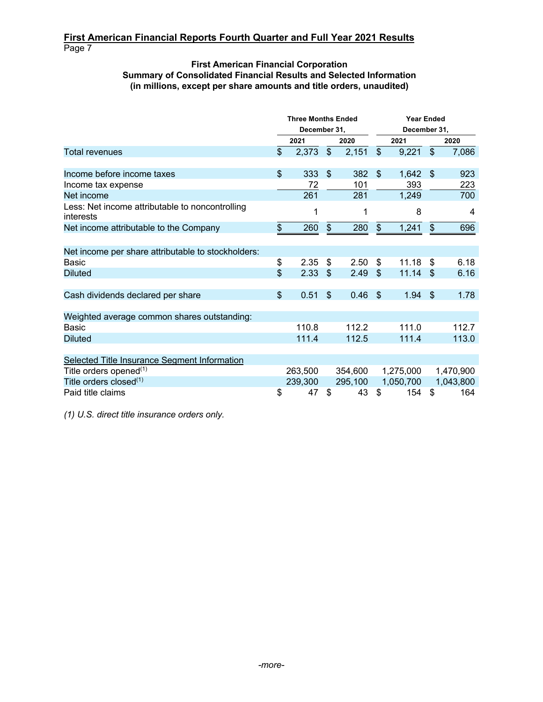## **First American Financial Corporation Summary of Consolidated Financial Results and Selected Information (in millions, except per share amounts and title orders, unaudited)**

|                                                              |                | <b>Three Months Ended</b><br>December 31, |                           |         | <b>Year Ended</b><br>December 31, |           |                       |           |  |
|--------------------------------------------------------------|----------------|-------------------------------------------|---------------------------|---------|-----------------------------------|-----------|-----------------------|-----------|--|
|                                                              |                | 2021                                      |                           | 2020    | 2021                              |           |                       | 2020      |  |
| Total revenues                                               | $\mathfrak{S}$ | 2,373                                     | $\sqrt{2}$                | 2,151   | $\sqrt[6]{\frac{1}{2}}$           | 9,221     | $\mathcal{S}$         | 7,086     |  |
|                                                              |                |                                           |                           |         |                                   |           |                       |           |  |
| Income before income taxes                                   | $\mathfrak{S}$ | 333                                       | $\mathfrak{L}$            | 382     | $\mathfrak{S}$                    | 1,642     | $^{\circ}$            | 923       |  |
| Income tax expense                                           |                | 72                                        |                           | 101     |                                   | 393       |                       | 223       |  |
| Net income                                                   |                | 261                                       |                           | 281     |                                   | 1,249     |                       | 700       |  |
| Less: Net income attributable to noncontrolling<br>interests |                | 1                                         |                           | 1       |                                   | 8         |                       | 4         |  |
| Net income attributable to the Company                       | \$             | 260                                       | $\boldsymbol{\theta}$     | 280     | $\frac{1}{2}$                     | 1,241     | $\boldsymbol{\theta}$ | 696       |  |
|                                                              |                |                                           |                           |         |                                   |           |                       |           |  |
| Net income per share attributable to stockholders:           |                |                                           |                           |         |                                   |           |                       |           |  |
| Basic                                                        | \$             | 2.35                                      | \$                        | 2.50    | \$                                | 11.18     | \$                    | 6.18      |  |
| <b>Diluted</b>                                               | $\mathfrak{S}$ | 2.33                                      | $\mathfrak{L}$            | 2.49    | \$                                | 11.14     | \$                    | 6.16      |  |
|                                                              |                |                                           |                           |         |                                   |           |                       |           |  |
| Cash dividends declared per share                            | \$             | 0.51                                      | $\boldsymbol{\mathsf{S}}$ | 0.46    | \$                                | 1.94      | -\$                   | 1.78      |  |
|                                                              |                |                                           |                           |         |                                   |           |                       |           |  |
| Weighted average common shares outstanding:                  |                |                                           |                           |         |                                   |           |                       |           |  |
| Basic                                                        |                | 110.8                                     |                           | 112.2   |                                   | 111.0     |                       | 112.7     |  |
| <b>Diluted</b>                                               |                | 111.4                                     |                           | 112.5   |                                   | 111.4     |                       | 113.0     |  |
|                                                              |                |                                           |                           |         |                                   |           |                       |           |  |
| Selected Title Insurance Segment Information                 |                |                                           |                           |         |                                   |           |                       |           |  |
| Title orders opened <sup>(1)</sup>                           |                | 263,500                                   |                           | 354,600 |                                   | 1,275,000 |                       | 1,470,900 |  |
| Title orders closed <sup>(1)</sup>                           |                | 239,300                                   |                           | 295,100 |                                   | 1,050,700 |                       | 1,043,800 |  |
| Paid title claims                                            | \$             | 47                                        | \$                        | 43      | \$                                | 154       | \$                    | 164       |  |

*(1) U.S. direct title insurance orders only.*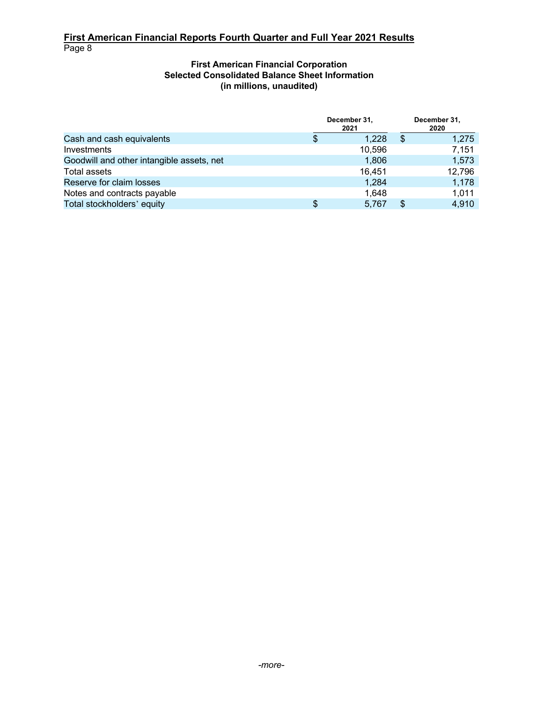## **First American Financial Corporation Selected Consolidated Balance Sheet Information (in millions, unaudited)**

|                                           |   | December 31,<br>2021 | December 31,<br>2020 |  |  |
|-------------------------------------------|---|----------------------|----------------------|--|--|
| Cash and cash equivalents                 | S | 1.228                | 1.275                |  |  |
| Investments                               |   | 10,596               | 7,151                |  |  |
| Goodwill and other intangible assets, net |   | 1,806                | 1,573                |  |  |
| Total assets                              |   | 16,451               | 12,796               |  |  |
| Reserve for claim losses                  |   | 1,284                | 1,178                |  |  |
| Notes and contracts payable               |   | 1.648                | 1,011                |  |  |
| Total stockholders' equity                | S | 5.767                | 4,910                |  |  |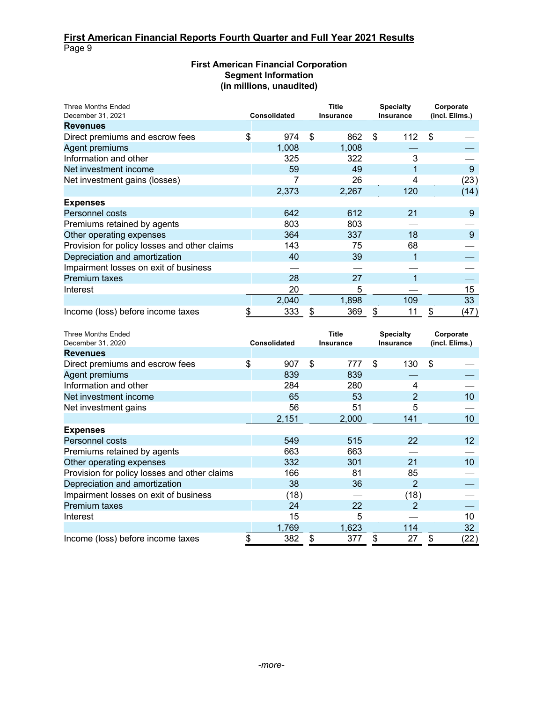## **First American Financial Corporation Segment Information (in millions, unaudited)**

| <b>Three Months Ended</b><br>December 31, 2021 | Consolidated |       | <b>Title</b><br>Insurance |       | <b>Specialty</b><br><b>Insurance</b> |     | Corporate<br>(incl. Elims.) |      |
|------------------------------------------------|--------------|-------|---------------------------|-------|--------------------------------------|-----|-----------------------------|------|
| <b>Revenues</b>                                |              |       |                           |       |                                      |     |                             |      |
| Direct premiums and escrow fees                | \$           | 974   | \$                        | 862   | \$                                   | 112 | \$                          |      |
| Agent premiums                                 |              | 1,008 |                           | 1.008 |                                      |     |                             |      |
| Information and other                          |              | 325   |                           | 322   |                                      | 3   |                             |      |
| Net investment income                          |              | 59    |                           | 49    |                                      |     |                             | 9    |
| Net investment gains (losses)                  |              |       |                           | 26    |                                      | 4   |                             | (23) |
|                                                |              | 2,373 |                           | 2,267 |                                      | 120 |                             | (14) |
| <b>Expenses</b>                                |              |       |                           |       |                                      |     |                             |      |
| Personnel costs                                |              | 642   |                           | 612   |                                      | 21  |                             | 9    |
| Premiums retained by agents                    |              | 803   |                           | 803   |                                      |     |                             |      |
| Other operating expenses                       |              | 364   |                           | 337   |                                      | 18  |                             | 9    |
| Provision for policy losses and other claims   |              | 143   |                           | 75    |                                      | 68  |                             |      |
| Depreciation and amortization                  |              | 40    |                           | 39    |                                      |     |                             |      |
| Impairment losses on exit of business          |              |       |                           |       |                                      |     |                             |      |
| <b>Premium taxes</b>                           |              | 28    |                           | 27    |                                      |     |                             |      |
| Interest                                       |              | 20    |                           | 5     |                                      |     |                             | 15   |
|                                                |              | 2,040 |                           | 1,898 |                                      | 109 |                             | 33   |
| Income (loss) before income taxes              |              | 333   | \$                        | 369   | \$                                   | 11  | \$                          | (47) |

| <b>Three Months Ended</b><br>December 31, 2020 | Consolidated |       | <b>Title</b><br><b>Insurance</b> |       | <b>Specialty</b><br><b>Insurance</b> |      | Corporate<br>(incl. Elims.) |                   |
|------------------------------------------------|--------------|-------|----------------------------------|-------|--------------------------------------|------|-----------------------------|-------------------|
| <b>Revenues</b>                                |              |       |                                  |       |                                      |      |                             |                   |
| Direct premiums and escrow fees                | \$           | 907   | \$                               | 777   | \$                                   | 130  | $\boldsymbol{\mathsf{S}}$   |                   |
| Agent premiums                                 |              | 839   |                                  | 839   |                                      |      |                             |                   |
| Information and other                          |              | 284   |                                  | 280   |                                      | 4    |                             |                   |
| Net investment income                          |              | 65    |                                  | 53    |                                      | 2    |                             | 10                |
| Net investment gains                           |              | 56    |                                  | 51    |                                      | 5    |                             |                   |
|                                                |              | 2,151 |                                  | 2,000 |                                      | 141  |                             | 10 <sup>1</sup>   |
| <b>Expenses</b>                                |              |       |                                  |       |                                      |      |                             |                   |
| Personnel costs                                |              | 549   |                                  | 515   |                                      | 22   |                             | $12 \overline{ }$ |
| Premiums retained by agents                    |              | 663   |                                  | 663   |                                      |      |                             |                   |
| Other operating expenses                       |              | 332   |                                  | 301   |                                      | 21   |                             | 10                |
| Provision for policy losses and other claims   |              | 166   |                                  | 81    |                                      | 85   |                             |                   |
| Depreciation and amortization                  |              | 38    |                                  | 36    |                                      | 2    |                             |                   |
| Impairment losses on exit of business          |              | (18)  |                                  |       |                                      | (18) |                             |                   |
| <b>Premium taxes</b>                           |              | 24    |                                  | 22    |                                      | 2    |                             |                   |
| Interest                                       |              | 15    |                                  | 5     |                                      |      |                             | 10                |
|                                                |              | 1,769 |                                  | 1,623 |                                      | 114  |                             | 32                |
| Income (loss) before income taxes              |              | 382   | \$                               | 377   | \$                                   | 27   | \$                          | (22)              |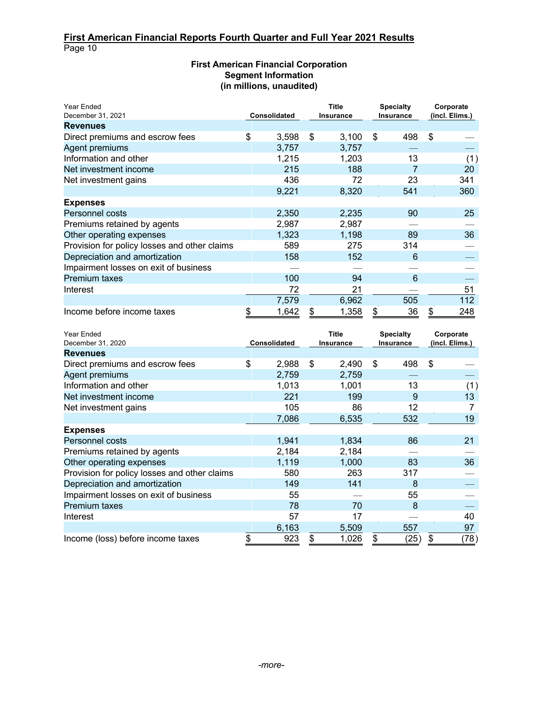Page 10

## **First American Financial Corporation Segment Information (in millions, unaudited)**

| Year Ended<br>December 31, 2021              | <b>Consolidated</b> |       | <b>Title</b><br><b>Insurance</b> |       | <b>Specialty</b><br><b>Insurance</b> |     | Corporate<br>(incl. Elims.) |     |
|----------------------------------------------|---------------------|-------|----------------------------------|-------|--------------------------------------|-----|-----------------------------|-----|
| <b>Revenues</b>                              |                     |       |                                  |       |                                      |     |                             |     |
| Direct premiums and escrow fees              | \$                  | 3,598 | \$                               | 3,100 | \$                                   | 498 | \$                          |     |
| Agent premiums                               |                     | 3,757 |                                  | 3.757 |                                      |     |                             |     |
| Information and other                        |                     | 1,215 |                                  | 1.203 |                                      | 13  |                             | (1) |
| Net investment income                        |                     | 215   |                                  | 188   |                                      |     |                             | 20  |
| Net investment gains                         |                     | 436   |                                  | 72    |                                      | 23  |                             | 341 |
|                                              |                     | 9,221 |                                  | 8,320 |                                      | 541 |                             | 360 |
| <b>Expenses</b>                              |                     |       |                                  |       |                                      |     |                             |     |
| Personnel costs                              |                     | 2,350 |                                  | 2,235 |                                      | 90  |                             | 25  |
| Premiums retained by agents                  |                     | 2,987 |                                  | 2,987 |                                      |     |                             |     |
| Other operating expenses                     |                     | 1,323 |                                  | 1,198 |                                      | 89  |                             | 36  |
| Provision for policy losses and other claims |                     | 589   |                                  | 275   |                                      | 314 |                             |     |
| Depreciation and amortization                |                     | 158   |                                  | 152   |                                      | 6   |                             |     |
| Impairment losses on exit of business        |                     |       |                                  |       |                                      |     |                             |     |
| <b>Premium taxes</b>                         |                     | 100   |                                  | 94    |                                      | 6   |                             |     |
| Interest                                     |                     | 72    |                                  | 21    |                                      |     |                             | 51  |
|                                              |                     | 7,579 |                                  | 6,962 |                                      | 505 |                             | 112 |
| Income before income taxes                   |                     | 1,642 |                                  | 1,358 | \$                                   | 36  | \$                          | 248 |

| Year Ended<br>December 31, 2020              | Consolidated |       | Title<br><b>Insurance</b> |       | <b>Specialty</b><br><b>Insurance</b> |      | Corporate<br>(incl. Elims.) |      |
|----------------------------------------------|--------------|-------|---------------------------|-------|--------------------------------------|------|-----------------------------|------|
| <b>Revenues</b>                              |              |       |                           |       |                                      |      |                             |      |
| Direct premiums and escrow fees              | \$           | 2,988 | \$                        | 2,490 | \$                                   | 498  | $\boldsymbol{\mathsf{S}}$   |      |
| Agent premiums                               |              | 2,759 |                           | 2,759 |                                      |      |                             |      |
| Information and other                        |              | 1,013 |                           | 1,001 |                                      | 13   |                             | (1)  |
| Net investment income                        |              | 221   |                           | 199   |                                      | 9    |                             | 13   |
| Net investment gains                         |              | 105   |                           | 86    |                                      | 12   |                             |      |
|                                              |              | 7,086 |                           | 6,535 |                                      | 532  |                             | 19   |
| <b>Expenses</b>                              |              |       |                           |       |                                      |      |                             |      |
| Personnel costs                              |              | 1,941 |                           | 1,834 |                                      | 86   |                             | 21   |
| Premiums retained by agents                  |              | 2,184 |                           | 2,184 |                                      |      |                             |      |
| Other operating expenses                     |              | 1,119 |                           | 1,000 |                                      | 83   |                             | 36   |
| Provision for policy losses and other claims |              | 580   |                           | 263   |                                      | 317  |                             |      |
| Depreciation and amortization                |              | 149   |                           | 141   |                                      | 8    |                             |      |
| Impairment losses on exit of business        |              | 55    |                           |       |                                      | 55   |                             |      |
| <b>Premium taxes</b>                         |              | 78    |                           | 70    |                                      | 8    |                             |      |
| Interest                                     |              | 57    |                           | 17    |                                      |      |                             | 40   |
|                                              |              | 6,163 |                           | 5,509 |                                      | 557  |                             | 97   |
| Income (loss) before income taxes            |              | 923   |                           | 1,026 | \$                                   | (25) | \$                          | (78) |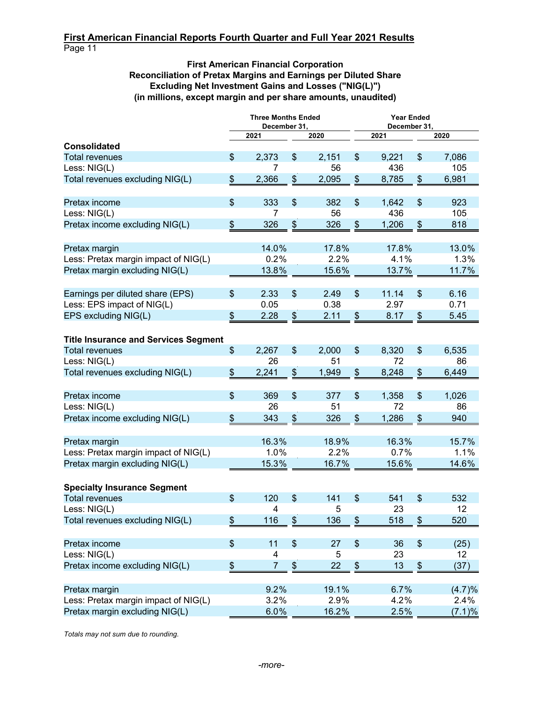## **First American Financial Corporation Reconciliation of Pretax Margins and Earnings per Diluted Share Excluding Net Investment Gains and Losses ("NIG(L)") (in millions, except margin and per share amounts, unaudited)**

|                                             | <b>Three Months Ended</b><br>December 31, |                           |       | <b>Year Ended</b><br>December 31, |       |      |        |  |  |
|---------------------------------------------|-------------------------------------------|---------------------------|-------|-----------------------------------|-------|------|--------|--|--|
|                                             | 2021                                      |                           | 2020  |                                   | 2021  |      | 2020   |  |  |
| <b>Consolidated</b>                         |                                           |                           |       |                                   |       |      |        |  |  |
| <b>Total revenues</b>                       | \$<br>2,373                               | \$                        | 2,151 | \$                                | 9,221 | \$   | 7,086  |  |  |
| Less: NIG(L)                                | 7                                         |                           | 56    |                                   | 436   |      | 105    |  |  |
| Total revenues excluding NIG(L)             | \$<br>2,366                               | \$                        | 2,095 | $\boldsymbol{\$}$                 | 8,785 | \$   | 6,981  |  |  |
| Pretax income                               | \$<br>333                                 | \$                        | 382   | $\boldsymbol{\mathsf{S}}$         | 1,642 | \$   | 923    |  |  |
| Less: NIG(L)                                | 7                                         |                           | 56    |                                   | 436   |      | 105    |  |  |
| Pretax income excluding NIG(L)              | \$<br>326                                 | \$                        | 326   | \$                                | 1,206 | \$   | 818    |  |  |
| Pretax margin                               | 14.0%                                     |                           | 17.8% |                                   | 17.8% |      | 13.0%  |  |  |
| Less: Pretax margin impact of NIG(L)        | 0.2%                                      |                           | 2.2%  |                                   | 4.1%  |      | 1.3%   |  |  |
| Pretax margin excluding NIG(L)              | 13.8%                                     |                           | 15.6% |                                   | 13.7% |      | 11.7%  |  |  |
| Earnings per diluted share (EPS)            | \$<br>2.33                                | \$                        | 2.49  | $\frac{1}{2}$                     | 11.14 | \$   | 6.16   |  |  |
| Less: EPS impact of NIG(L)                  | 0.05                                      |                           | 0.38  |                                   | 2.97  |      | 0.71   |  |  |
| EPS excluding NIG(L)                        | \$<br>2.28                                | \$                        | 2.11  | \$                                | 8.17  | \$   | 5.45   |  |  |
| <b>Title Insurance and Services Segment</b> |                                           |                           |       |                                   |       |      |        |  |  |
| <b>Total revenues</b>                       | \$<br>2,267                               | \$                        | 2,000 | \$                                | 8,320 | \$   | 6,535  |  |  |
| Less: NIG(L)                                | 26                                        |                           | 51    |                                   | 72    |      | 86     |  |  |
| Total revenues excluding NIG(L)             | \$<br>2,241                               | \$                        | 1,949 | \$                                | 8,248 | \$   | 6,449  |  |  |
| Pretax income                               | \$<br>369                                 | $\mathfrak{S}$            | 377   | $\boldsymbol{\mathsf{S}}$         | 1,358 | \$   | 1,026  |  |  |
| Less: NIG(L)                                | 26                                        |                           | 51    |                                   | 72    |      | 86     |  |  |
| Pretax income excluding NIG(L)              | \$<br>343                                 | \$                        | 326   | $\frac{1}{2}$                     | 1,286 | \$   | 940    |  |  |
| Pretax margin                               | 16.3%                                     |                           | 18.9% |                                   | 16.3% |      | 15.7%  |  |  |
| Less: Pretax margin impact of NIG(L)        | 1.0%                                      |                           | 2.2%  |                                   | 0.7%  |      | 1.1%   |  |  |
| Pretax margin excluding NIG(L)              | 15.3%                                     |                           | 16.7% |                                   | 15.6% |      | 14.6%  |  |  |
| <b>Specialty Insurance Segment</b>          |                                           |                           |       |                                   |       |      |        |  |  |
| <b>Total revenues</b>                       | \$<br>120                                 | \$                        | 141   | $\mathfrak{S}$                    | 541   | \$   | 532    |  |  |
| ess: NIG(L)                                 | 4                                         |                           | 5     |                                   | 23    |      | 12     |  |  |
| Total revenues excluding NIG(L)             | \$<br>116                                 | $\boldsymbol{\mathsf{S}}$ | 136   | $\frac{1}{2}$                     | 518   | \$   | 520    |  |  |
| Pretax income                               | \$<br>11                                  | $\frac{1}{2}$             | 27    | $\frac{1}{2}$                     | 36    | $\,$ | (25)   |  |  |
| Less: NIG(L)                                | 4                                         |                           | 5     |                                   | 23    |      | 12     |  |  |
| Pretax income excluding NIG(L)              | \$<br>$\overline{7}$                      | $\,$                      | 22    | \$                                | 13    | \$   | (37)   |  |  |
| Pretax margin                               | 9.2%                                      |                           | 19.1% |                                   | 6.7%  |      | (4.7)% |  |  |
| Less: Pretax margin impact of NIG(L)        | 3.2%                                      |                           | 2.9%  |                                   | 4.2%  |      | 2.4%   |  |  |
| Pretax margin excluding NIG(L)              | 6.0%                                      |                           | 16.2% |                                   | 2.5%  |      | (7.1)% |  |  |

*Totals may not sum due to rounding.*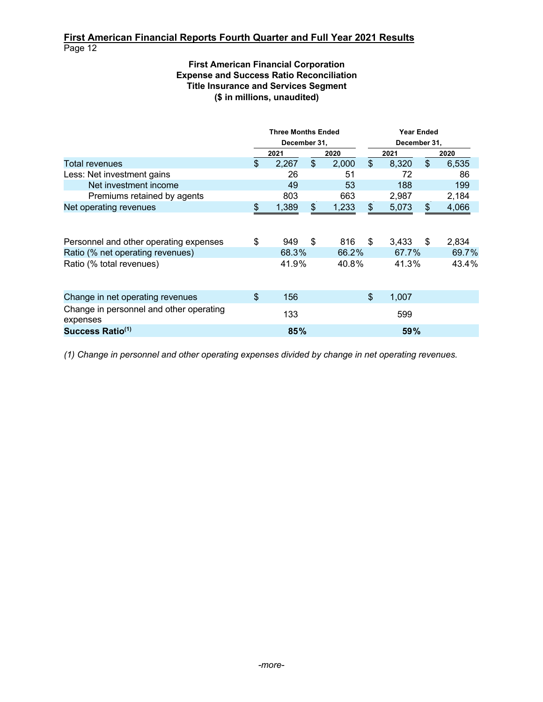## **First American Financial Corporation Expense and Success Ratio Reconciliation Title Insurance and Services Segment (\$ in millions, unaudited)**

|                                                     |                | <b>Three Months Ended</b> |                |       | <b>Year Ended</b><br>December 31, |       |                           |       |  |
|-----------------------------------------------------|----------------|---------------------------|----------------|-------|-----------------------------------|-------|---------------------------|-------|--|
|                                                     |                | December 31,              |                |       |                                   |       |                           |       |  |
|                                                     |                | 2021                      |                | 2020  |                                   | 2021  |                           | 2020  |  |
| Total revenues                                      | \$             | 2,267                     | $\mathfrak{S}$ | 2,000 | \$                                | 8,320 | $\boldsymbol{\mathsf{S}}$ | 6,535 |  |
| Less: Net investment gains                          |                | 26                        |                | 51    |                                   | 72    |                           | 86    |  |
| Net investment income                               |                | 49                        |                | 53    |                                   | 188   |                           | 199   |  |
| Premiums retained by agents                         |                | 803                       |                | 663   |                                   | 2,987 |                           | 2,184 |  |
| Net operating revenues                              | \$             | 1,389                     | $\frac{1}{2}$  | 1,233 | \$                                | 5,073 | $\frac{2}{3}$             | 4,066 |  |
| Personnel and other operating expenses              | \$             | 949                       | \$             | 816   | S                                 | 3,433 | -S                        | 2,834 |  |
| Ratio (% net operating revenues)                    |                | 68.3%                     |                | 66.2% |                                   | 67.7% |                           | 69.7% |  |
| Ratio (% total revenues)                            |                | 41.9%                     |                | 40.8% |                                   | 41.3% |                           | 43.4% |  |
| Change in net operating revenues                    | $\mathfrak{L}$ | 156                       |                |       | \$                                | 1,007 |                           |       |  |
| Change in personnel and other operating<br>expenses |                | 133                       |                |       |                                   | 599   |                           |       |  |
| Success Ratio <sup>(1)</sup>                        |                | 85%                       |                |       |                                   | 59%   |                           |       |  |

*(1) Change in personnel and other operating expenses divided by change in net operating revenues.*